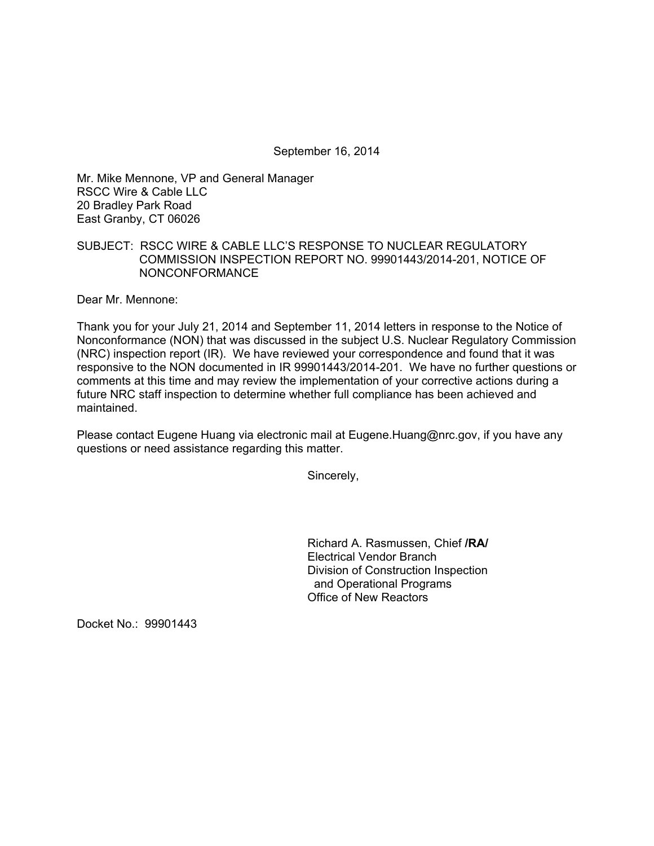September 16, 2014

Mr. Mike Mennone, VP and General Manager RSCC Wire & Cable LLC 20 Bradley Park Road East Granby, CT 06026

## SUBJECT: RSCC WIRE & CABLE LLC'S RESPONSE TO NUCLEAR REGULATORY COMMISSION INSPECTION REPORT NO. 99901443/2014-201, NOTICE OF NONCONFORMANCE

Dear Mr. Mennone:

Thank you for your July 21, 2014 and September 11, 2014 letters in response to the Notice of Nonconformance (NON) that was discussed in the subject U.S. Nuclear Regulatory Commission (NRC) inspection report (IR). We have reviewed your correspondence and found that it was responsive to the NON documented in IR 99901443/2014-201. We have no further questions or comments at this time and may review the implementation of your corrective actions during a future NRC staff inspection to determine whether full compliance has been achieved and maintained.

Please contact Eugene Huang via electronic mail at Eugene.Huang@nrc.gov, if you have any questions or need assistance regarding this matter.

Sincerely,

Richard A. Rasmussen, Chief **/RA/**  Electrical Vendor Branch Division of Construction Inspection and Operational Programs Office of New Reactors

Docket No.: 99901443